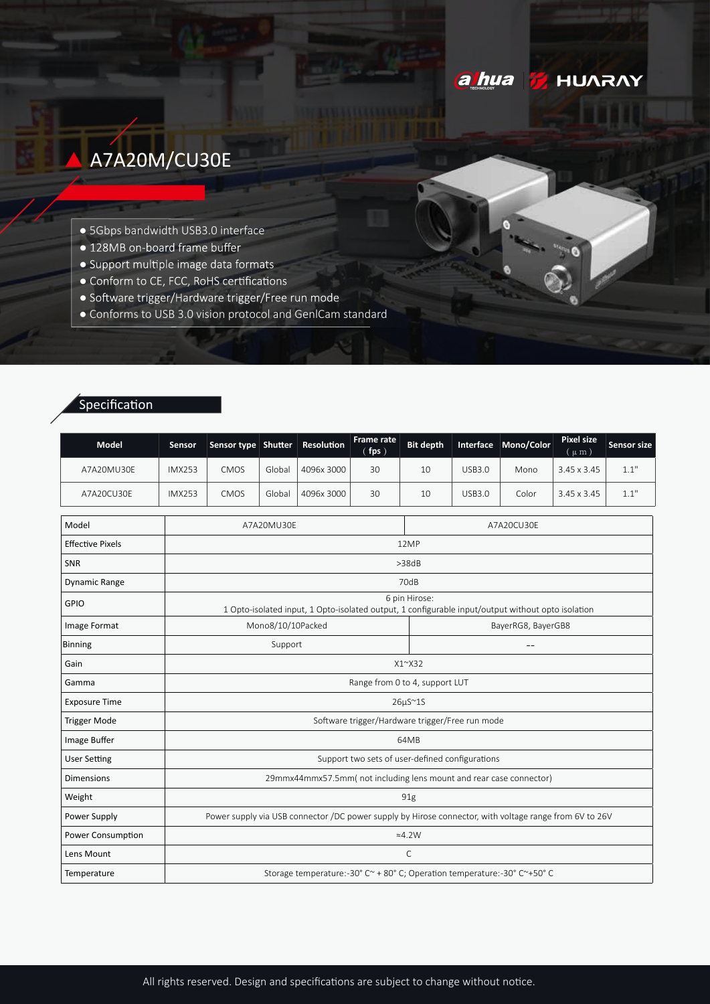# **ahua HUARAY**

# A7A20M/CU30E

- · 5Gbps bandwidth USB3.0 interface
- · 128MB on-board frame buffer
- · Support multiple image data formats
- Conform to CE, FCC, RoHS certifications
- · Software trigger/Hardware trigger/Free run mode
- Conforms to USB 3.0 vision protocol and GenlCam standard

## Specification

| <b>Model</b>            | Sensor        | Sensor type Shutter                                                                                                |        | Resolution | <b>Frame rate</b><br>fps) | <b>Bit depth</b> | Interface          | Mono/Color | <b>Pixel size</b><br>$(\mu m)$ | <b>Sensor size</b> |  |
|-------------------------|---------------|--------------------------------------------------------------------------------------------------------------------|--------|------------|---------------------------|------------------|--------------------|------------|--------------------------------|--------------------|--|
| A7A20MU30E              | <b>IMX253</b> | CMOS                                                                                                               | Global | 4096x 3000 | 30                        | 10               | <b>USB3.0</b>      | Mono       | 3.45 x 3.45                    | 1.1"               |  |
| A7A20CU30E              | <b>IMX253</b> | CMOS                                                                                                               | Global | 4096x 3000 | 30                        | 10               | <b>USB3.0</b>      | Color      | 3.45 x 3.45                    | 1.1"               |  |
| Model                   |               | A7A20MU30E                                                                                                         |        |            |                           | A7A20CU30E       |                    |            |                                |                    |  |
| <b>Effective Pixels</b> |               |                                                                                                                    |        |            |                           | 12MP             |                    |            |                                |                    |  |
| <b>SNR</b>              |               | >38dB                                                                                                              |        |            |                           |                  |                    |            |                                |                    |  |
| <b>Dynamic Range</b>    |               | 70dB                                                                                                               |        |            |                           |                  |                    |            |                                |                    |  |
| <b>GPIO</b>             |               | 6 pin Hirose:<br>1 Opto-isolated input, 1 Opto-isolated output, 1 configurable input/output without opto isolation |        |            |                           |                  |                    |            |                                |                    |  |
| Image Format            |               | Mono8/10/10Packed                                                                                                  |        |            |                           |                  | BayerRG8, BayerGB8 |            |                                |                    |  |
| <b>Binning</b>          |               | Support                                                                                                            |        |            |                           |                  |                    |            |                                |                    |  |
| Gain                    |               | $X1^{\sim}X32$                                                                                                     |        |            |                           |                  |                    |            |                                |                    |  |
| Gamma                   |               | Range from 0 to 4, support LUT                                                                                     |        |            |                           |                  |                    |            |                                |                    |  |
| <b>Exposure Time</b>    |               | $26\mu S^{\sim}1S$                                                                                                 |        |            |                           |                  |                    |            |                                |                    |  |
| <b>Trigger Mode</b>     |               | Software trigger/Hardware trigger/Free run mode                                                                    |        |            |                           |                  |                    |            |                                |                    |  |
| Image Buffer            |               | 64MB                                                                                                               |        |            |                           |                  |                    |            |                                |                    |  |
| <b>User Setting</b>     |               | Support two sets of user-defined configurations                                                                    |        |            |                           |                  |                    |            |                                |                    |  |
| <b>Dimensions</b>       |               | 29mmx44mmx57.5mm(not including lens mount and rear case connector)                                                 |        |            |                           |                  |                    |            |                                |                    |  |
| Weight                  |               | 91g                                                                                                                |        |            |                           |                  |                    |            |                                |                    |  |
| Power Supply            |               | Power supply via USB connector /DC power supply by Hirose connector, with voltage range from 6V to 26V             |        |            |                           |                  |                    |            |                                |                    |  |
| Power Consumption       |               | $\approx$ 4.2W                                                                                                     |        |            |                           |                  |                    |            |                                |                    |  |
| Lens Mount              |               | $\mathsf{C}$                                                                                                       |        |            |                           |                  |                    |            |                                |                    |  |
| Temperature             |               | Storage temperature:-30° C~ + 80° C; Operation temperature:-30° C~+50° C                                           |        |            |                           |                  |                    |            |                                |                    |  |